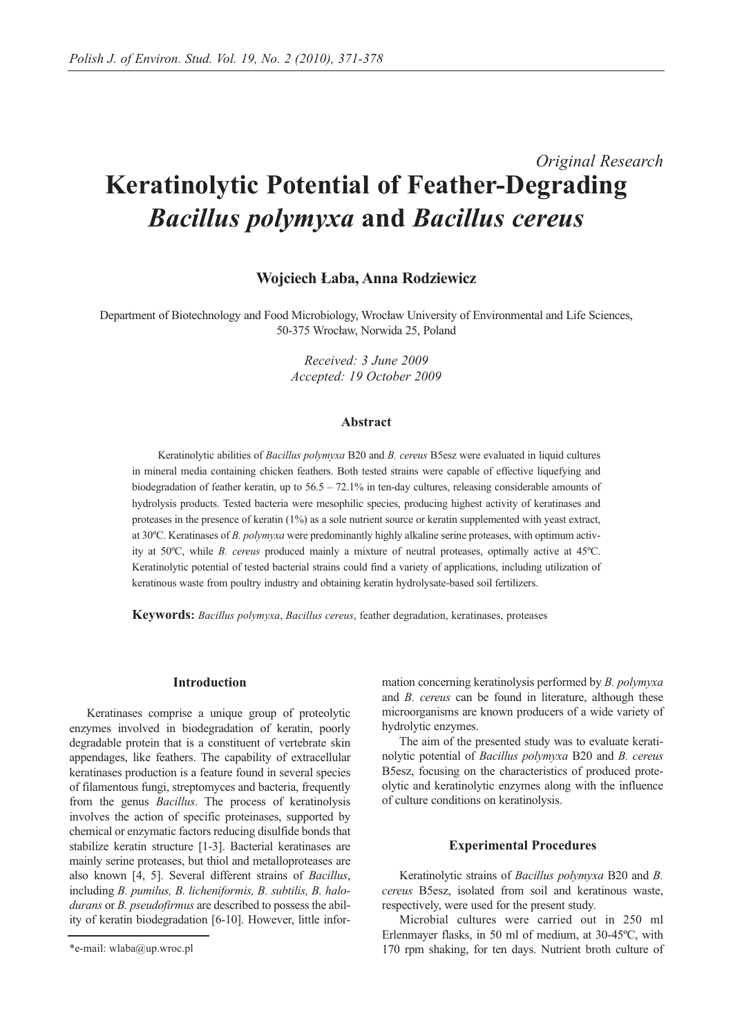# *Original Research* **Keratinolytic Potential of Feather-Degrading** *Bacillus polymyxa* **and** *Bacillus cereus*

## **Wojciech Łaba, Anna Rodziewicz**

Department of Biotechnology and Food Microbiology, Wrocław University of Environmental and Life Sciences, 50-375 Wrocław, Norwida 25, Poland

> *Received: 3 June 2009 Accepted: 19 October 2009*

## **Abstract**

Keratinolytic abilities of *Bacillus polymyxa* B20 and *B. cereus* B5esz were evaluated in liquid cultures in mineral media containing chicken feathers. Both tested strains were capable of effective liquefying and biodegradation of feather keratin, up to 56.5 – 72.1% in ten-day cultures, releasing considerable amounts of hydrolysis products. Tested bacteria were mesophilic species, producing highest activity of keratinases and proteases in the presence of keratin (1%) as a sole nutrient source or keratin supplemented with yeast extract, at 30ºC. Keratinases of *B. polymyxa* were predominantly highly alkaline serine proteases, with optimum activity at 50ºC, while *B. cereus* produced mainly a mixture of neutral proteases, optimally active at 45ºC. Keratinolytic potential of tested bacterial strains could find a variety of applications, including utilization of keratinous waste from poultry industry and obtaining keratin hydrolysate-based soil fertilizers.

**Keywords:** *Bacillus polymyxa*, *Bacillus cereus*, feather degradation, keratinases, proteases

### **Introduction**

Keratinases comprise a unique group of proteolytic enzymes involved in biodegradation of keratin, poorly degradable protein that is a constituent of vertebrate skin appendages, like feathers. The capability of extracellular keratinases production is a feature found in several species of filamentous fungi, streptomyces and bacteria, frequently from the genus *Bacillus*. The process of keratinolysis involves the action of specific proteinases, supported by chemical or enzymatic factors reducing disulfide bonds that stabilize keratin structure [1-3]. Bacterial keratinases are mainly serine proteases, but thiol and metalloproteases are also known [4, 5]. Several different strains of *Bacillus*, including *B. pumilus, B. licheniformis, B. subtilis, B. halodurans* or *B. pseudofirmus* are described to possess the ability of keratin biodegradation [6-10]. However, little information concerning keratinolysis performed by *B. polymyxa* and *B. cereus* can be found in literature, although these microorganisms are known producers of a wide variety of hydrolytic enzymes.

The aim of the presented study was to evaluate keratinolytic potential of *Bacillus polymyxa* B20 and *B. cereus* B5esz, focusing on the characteristics of produced proteolytic and keratinolytic enzymes along with the influence of culture conditions on keratinolysis.

#### **Experimental Procedures**

Keratinolytic strains of *Bacillus polymyxa* B20 and *B. cereus* B5esz, isolated from soil and keratinous waste, respectively, were used for the present study.

Microbial cultures were carried out in 250 ml Erlenmayer flasks, in 50 ml of medium, at 30-45ºC, with 170 rpm shaking, for ten days. Nutrient broth culture of

<sup>\*</sup>e-mail: wlaba@up.wroc.pl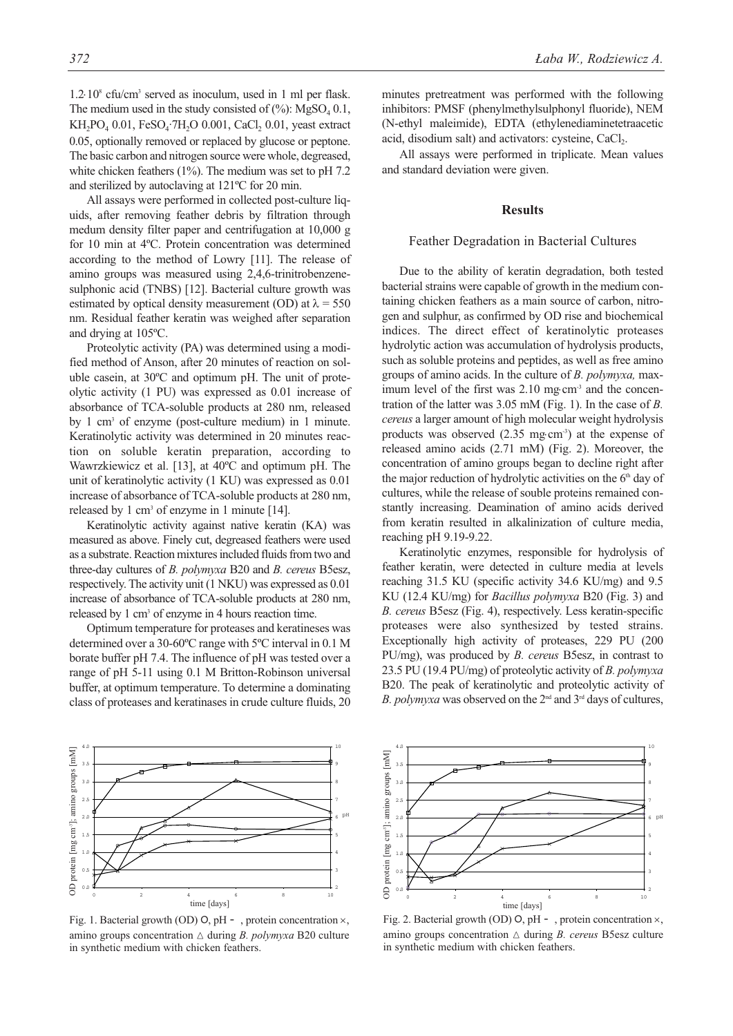1.2⋅108 cfu/cm3 served as inoculum, used in 1 ml per flask. The medium used in the study consisted of  $(\%)$ : MgSO<sub>4</sub> 0.1,  $KH_2PO_4$  0.01,  $FeSO_4$ ·7 $H_2O$  0.001,  $CaCl_2$  0.01, yeast extract 0.05, optionally removed or replaced by glucose or peptone. The basic carbon and nitrogen source were whole, degreased, white chicken feathers (1%). The medium was set to pH 7.2 and sterilized by autoclaving at 121ºC for 20 min.

All assays were performed in collected post-culture liquids, after removing feather debris by filtration through medum density filter paper and centrifugation at 10,000 g for 10 min at 4ºC. Protein concentration was determined according to the method of Lowry [11]. The release of amino groups was measured using 2,4,6-trinitrobenzenesulphonic acid (TNBS) [12]. Bacterial culture growth was estimated by optical density measurement (OD) at  $\lambda = 550$ nm. Residual feather keratin was weighed after separation and drying at 105ºC.

Proteolytic activity (PA) was determined using a modified method of Anson, after 20 minutes of reaction on soluble casein, at 30ºC and optimum pH. The unit of proteolytic activity (1 PU) was expressed as 0.01 increase of absorbance of TCA-soluble products at 280 nm, released by 1 cm3 of enzyme (post-culture medium) in 1 minute. Keratinolytic activity was determined in 20 minutes reaction on soluble keratin preparation, according to Wawrzkiewicz et al. [13], at 40ºC and optimum pH. The unit of keratinolytic activity (1 KU) was expressed as 0.01 increase of absorbance of TCA-soluble products at 280 nm, released by 1 cm<sup>3</sup> of enzyme in 1 minute [14].

Keratinolytic activity against native keratin (KA) was measured as above. Finely cut, degreased feathers were used as a substrate. Reaction mixtures included fluids from two and three-day cultures of *B. polymyxa* B20 and *B. cereus* B5esz, respectively. The activity unit (1 NKU) was expressed as 0.01 increase of absorbance of TCA-soluble products at 280 nm, released by 1 cm<sup>3</sup> of enzyme in 4 hours reaction time.

Optimum temperature for proteases and keratineses was determined over a 30-60ºC range with 5ºC interval in 0.1 M borate buffer pH 7.4. The influence of pH was tested over a range of pH 5-11 using 0.1 M Britton-Robinson universal buffer, at optimum temperature. To determine a dominating class of proteases and keratinases in crude culture fluids, 20 minutes pretreatment was performed with the following inhibitors: PMSF (phenylmethylsulphonyl fluoride), NEM (N-ethyl maleimide), EDTA (ethylenediaminetetraacetic acid, disodium salt) and activators: cysteine, CaCl<sub>2</sub>.

All assays were performed in triplicate. Mean values and standard deviation were given.

## **Results**

#### Feather Degradation in Bacterial Cultures

Due to the ability of keratin degradation, both tested bacterial strains were capable of growth in the medium containing chicken feathers as a main source of carbon, nitrogen and sulphur, as confirmed by OD rise and biochemical indices. The direct effect of keratinolytic proteases hydrolytic action was accumulation of hydrolysis products, such as soluble proteins and peptides, as well as free amino groups of amino acids. In the culture of *B. polymyxa,* maximum level of the first was 2.10 mg⋅cm<sup>-3</sup> and the concentration of the latter was 3.05 mM (Fig. 1). In the case of *B. cereus* a larger amount of high molecular weight hydrolysis products was observed  $(2.35 \text{ mg} \cdot \text{cm}^{-3})$  at the expense of released amino acids (2.71 mM) (Fig. 2). Moreover, the concentration of amino groups began to decline right after the major reduction of hydrolytic activities on the  $6<sup>th</sup>$  day of cultures, while the release of souble proteins remained constantly increasing. Deamination of amino acids derived from keratin resulted in alkalinization of culture media, reaching pH 9.19-9.22.

Keratinolytic enzymes, responsible for hydrolysis of feather keratin, were detected in culture media at levels reaching 31.5 KU (specific activity 34.6 KU/mg) and 9.5 KU (12.4 KU/mg) for *Bacillus polymyxa* B20 (Fig. 3) and *B. cereus* B5esz (Fig. 4), respectively. Less keratin-specific proteases were also synthesized by tested strains. Exceptionally high activity of proteases, 229 PU (200 PU/mg), was produced by *B. cereus* B5esz, in contrast to 23.5 PU (19.4 PU/mg) of proteolytic activity of *B. polymyxa* B20. The peak of keratinolytic and proteolytic activity of *B. polymyxa* was observed on the 2<sup>nd</sup> and 3<sup>rd</sup> days of cultures,



Fig. 1. Bacterial growth (OD) O, pH - , protein concentration  $\times$ , amino groups concentration  $\triangle$  during *B. polymyxa* B20 culture in synthetic medium with chicken feathers.



Fig. 2. Bacterial growth (OD) O, pH - , protein concentration  $\times$ , amino groups concentration  $\triangle$  during *B. cereus* B5esz culture in synthetic medium with chicken feathers.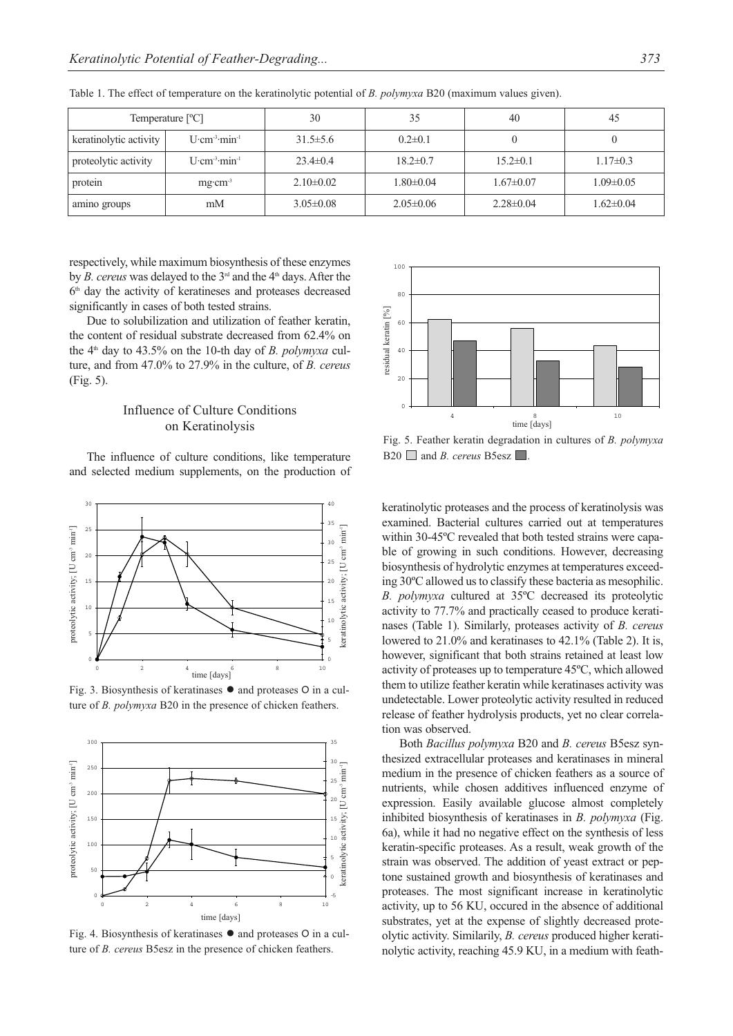| Temperature $[°C]$     |                                       | 30              | 35              | 40              | 45              |
|------------------------|---------------------------------------|-----------------|-----------------|-----------------|-----------------|
| keratinolytic activity | $U$ cm <sup>3</sup> min <sup>1</sup>  | $31.5 \pm 5.6$  | $0.2 \pm 0.1$   |                 |                 |
| proteolytic activity   | $U$ cm <sup>3</sup> min <sup>-1</sup> | $23.4 \pm 0.4$  | $18.2 \pm 0.7$  | $15.2 \pm 0.1$  | $1.17 \pm 0.3$  |
| protein                | $mg \cdot cm^{-3}$                    | $2.10\pm0.02$   | $1.80 \pm 0.04$ | $1.67 \pm 0.07$ | $1.09 \pm 0.05$ |
| amino groups           | mM                                    | $3.05 \pm 0.08$ | $2.05 \pm 0.06$ | $2.28 \pm 0.04$ | $1.62 \pm 0.04$ |

Table 1. The effect of temperature on the keratinolytic potential of *B. polymyxa* B20 (maximum values given).

respectively, while maximum biosynthesis of these enzymes by *B. cereus* was delayed to the 3<sup>rd</sup> and the 4<sup>th</sup> days. After the 6<sup>th</sup> day the activity of keratineses and proteases decreased significantly in cases of both tested strains.

Due to solubilization and utilization of feather keratin, the content of residual substrate decreased from 62.4% on the 4<sup>th</sup> day to 43.5% on the 10-th day of *B. polymyxa* culture, and from 47.0% to 27.9% in the culture, of *B. cereus* (Fig. 5).

# Influence of Culture Conditions on Keratinolysis

The influence of culture conditions, like temperature and selected medium supplements, on the production of



Fig. 3. Biosynthesis of keratinases ● and proteases 0 in a culture of *B. polymyxa* B20 in the presence of chicken feathers.



Fig. 4. Biosynthesis of keratinases ● and proteases 0 in a culture of *B. cereus* B5esz in the presence of chicken feathers.



Fig. 5. Feather keratin degradation in cultures of *B. polymyxa*  $B20$  and *B. cereus* B5esz  $\Box$ 

keratinolytic proteases and the process of keratinolysis was examined. Bacterial cultures carried out at temperatures within 30-45ºC revealed that both tested strains were capable of growing in such conditions. However, decreasing biosynthesis of hydrolytic enzymes at temperatures exceeding 30ºC allowed us to classify these bacteria as mesophilic. *B. polymyxa* cultured at 35ºC decreased its proteolytic activity to 77.7% and practically ceased to produce keratinases (Table 1). Similarly, proteases activity of *B. cereus* lowered to 21.0% and keratinases to 42.1% (Table 2). It is, however, significant that both strains retained at least low activity of proteases up to temperature 45ºC, which allowed them to utilize feather keratin while keratinases activity was undetectable. Lower proteolytic activity resulted in reduced release of feather hydrolysis products, yet no clear correlation was observed.

Both *Bacillus polymyxa* B20 and *B. cereus* B5esz synthesized extracellular proteases and keratinases in mineral medium in the presence of chicken feathers as a source of nutrients, while chosen additives influenced enzyme of expression. Easily available glucose almost completely inhibited biosynthesis of keratinases in *B. polymyxa* (Fig. 6a), while it had no negative effect on the synthesis of less keratin-specific proteases. As a result, weak growth of the strain was observed. The addition of yeast extract or peptone sustained growth and biosynthesis of keratinases and proteases. The most significant increase in keratinolytic activity, up to 56 KU, occured in the absence of additional substrates, yet at the expense of slightly decreased proteolytic activity. Similarily, *B. cereus* produced higher keratinolytic activity, reaching 45.9 KU, in a medium with feath-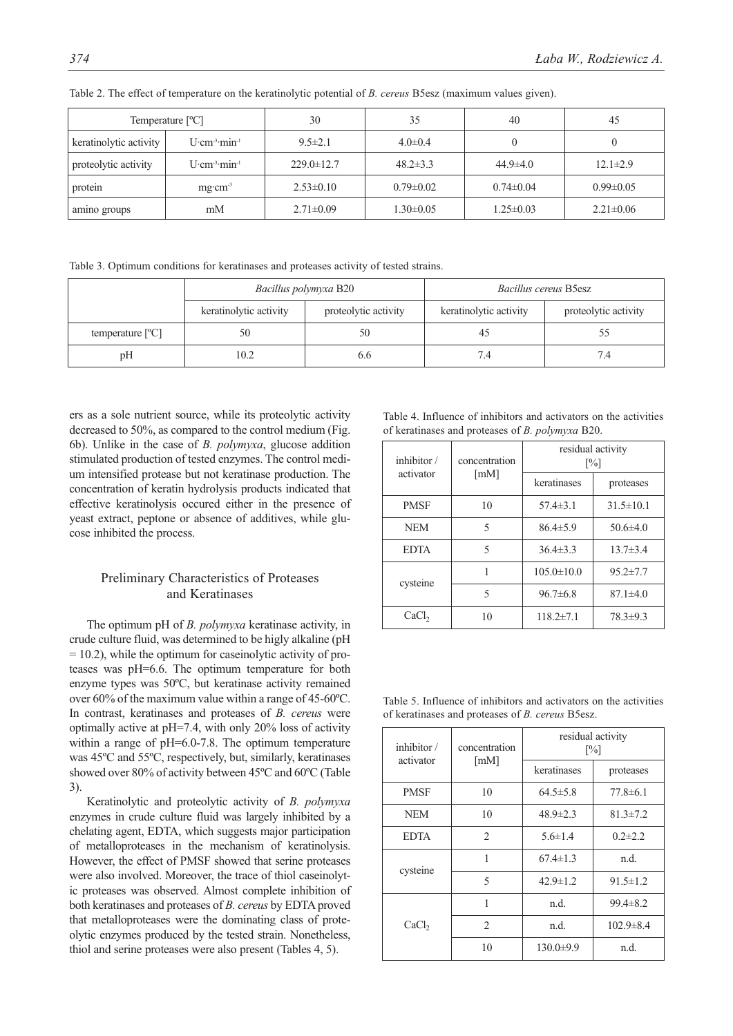| Temperature $[°C]$     |                                          | 30               | 35              | 40              | 45              |
|------------------------|------------------------------------------|------------------|-----------------|-----------------|-----------------|
| keratinolytic activity | $U$ cm <sup>3</sup> min <sup>-1</sup>    | $9.5 \pm 2.1$    | $4.0 \pm 0.4$   | 0               |                 |
| proteolytic activity   | $U$ ·cm <sup>-3</sup> ·min <sup>-1</sup> | $229.0 \pm 12.7$ | $48.2 \pm 3.3$  | $44.9 \pm 4.0$  | $12.1 \pm 2.9$  |
| protein                | $mg \cdot cm^{-3}$                       | $2.53 \pm 0.10$  | $0.79 \pm 0.02$ | $0.74 \pm 0.04$ | $0.99 \pm 0.05$ |
| amino groups           | mM                                       | $2.71 \pm 0.09$  | $1.30 \pm 0.05$ | $1.25 \pm 0.03$ | $2.21 \pm 0.06$ |

Table 2. The effect of temperature on the keratinolytic potential of *B. cereus* B5esz (maximum values given).

Table 3. Optimum conditions for keratinases and proteases activity of tested strains.

|                           | Bacillus polymyxa B20  |                      | <i>Bacillus cereus</i> B5esz |                      |
|---------------------------|------------------------|----------------------|------------------------------|----------------------|
|                           | keratinolytic activity | proteolytic activity | keratinolytic activity       | proteolytic activity |
| temperature $[^{\circ}C]$ | 50                     | 50                   | 40                           |                      |
| pH                        | 10.2                   | 0.0                  | 7.4                          |                      |

ers as a sole nutrient source, while its proteolytic activity decreased to 50%, as compared to the control medium (Fig. 6b). Unlike in the case of *B. polymyxa*, glucose addition stimulated production of tested enzymes. The control medium intensified protease but not keratinase production. The concentration of keratin hydrolysis products indicated that effective keratinolysis occured either in the presence of yeast extract, peptone or absence of additives, while glucose inhibited the process.

# Preliminary Characteristics of Proteases and Keratinases

The optimum pH of *B. polymyxa* keratinase activity, in crude culture fluid, was determined to be higly alkaline (pH  $= 10.2$ ), while the optimum for caseinolytic activity of proteases was pH=6.6. The optimum temperature for both enzyme types was 50ºC, but keratinase activity remained over 60% of the maximum value within a range of 45-60ºC. In contrast, keratinases and proteases of *B. cereus* were optimally active at pH=7.4, with only 20% loss of activity within a range of pH=6.0-7.8. The optimum temperature was 45ºC and 55ºC, respectively, but, similarly, keratinases showed over 80% of activity between 45ºC and 60ºC (Table 3).

Keratinolytic and proteolytic activity of *B. polymyxa* enzymes in crude culture fluid was largely inhibited by a chelating agent, EDTA, which suggests major participation of metalloproteases in the mechanism of keratinolysis. However, the effect of PMSF showed that serine proteases were also involved. Moreover, the trace of thiol caseinolytic proteases was observed. Almost complete inhibition of both keratinases and proteases of *B. cereus* by EDTA proved that metalloproteases were the dominating class of proteolytic enzymes produced by the tested strain. Nonetheless, thiol and serine proteases were also present (Tables 4, 5).

Table 4. Influence of inhibitors and activators on the activities of keratinases and proteases of *B. polymyxa* B20.

| inhibitor /       | concentration<br>$\lceil$ mM $\rceil$ | residual activity<br>$\lceil\% \rceil$ |                 |  |
|-------------------|---------------------------------------|----------------------------------------|-----------------|--|
| activator         |                                       | keratinases                            | proteases       |  |
| <b>PMSF</b>       | 10                                    | $57.4 \pm 3.1$                         | $31.5 \pm 10.1$ |  |
| <b>NEM</b>        | 5                                     | $86.4 \pm 5.9$                         | $50.6\pm4.0$    |  |
| <b>EDTA</b>       | 5                                     | $36.4 \pm 3.3$                         | $13.7 \pm 3.4$  |  |
| cysteine          |                                       | $105.0 \pm 10.0$                       | $95.2 \pm 7.7$  |  |
|                   | 5                                     | $96.7\pm 6.8$                          | $87.1 \pm 4.0$  |  |
| CaCl <sub>2</sub> | 10                                    | $118.2 \pm 7.1$                        | $78.3 \pm 9.3$  |  |

Table 5. Influence of inhibitors and activators on the activities of keratinases and proteases of *B. cereus* B5esz.

| inhibitor /       | concentration<br>$\lceil$ mM $\rceil$ | residual activity<br>$\lceil\% \rceil$ |                 |  |
|-------------------|---------------------------------------|----------------------------------------|-----------------|--|
| activator         |                                       | keratinases                            | proteases       |  |
| <b>PMSF</b>       | 10                                    | $64.5 \pm 5.8$                         | $77.8\pm 6.1$   |  |
| <b>NEM</b>        | 10                                    | $48.9 \pm 2.3$                         | $81.3 \pm 7.2$  |  |
| <b>EDTA</b>       | $\overline{2}$                        | $5.6 \pm 1.4$                          | $0.2 \pm 2.2$   |  |
| cysteine          | 1                                     | $67.4 \pm 1.3$                         | n.d.            |  |
|                   | 5                                     | $42.9 \pm 1.2$                         | $91.5 \pm 1.2$  |  |
|                   | 1                                     | n.d.                                   | $99.4 \pm 8.2$  |  |
| CaCl <sub>2</sub> | $\mathfrak{D}$                        | n.d.                                   | $102.9 \pm 8.4$ |  |
|                   | 10                                    | $130.0 \pm 9.9$                        | n.d.            |  |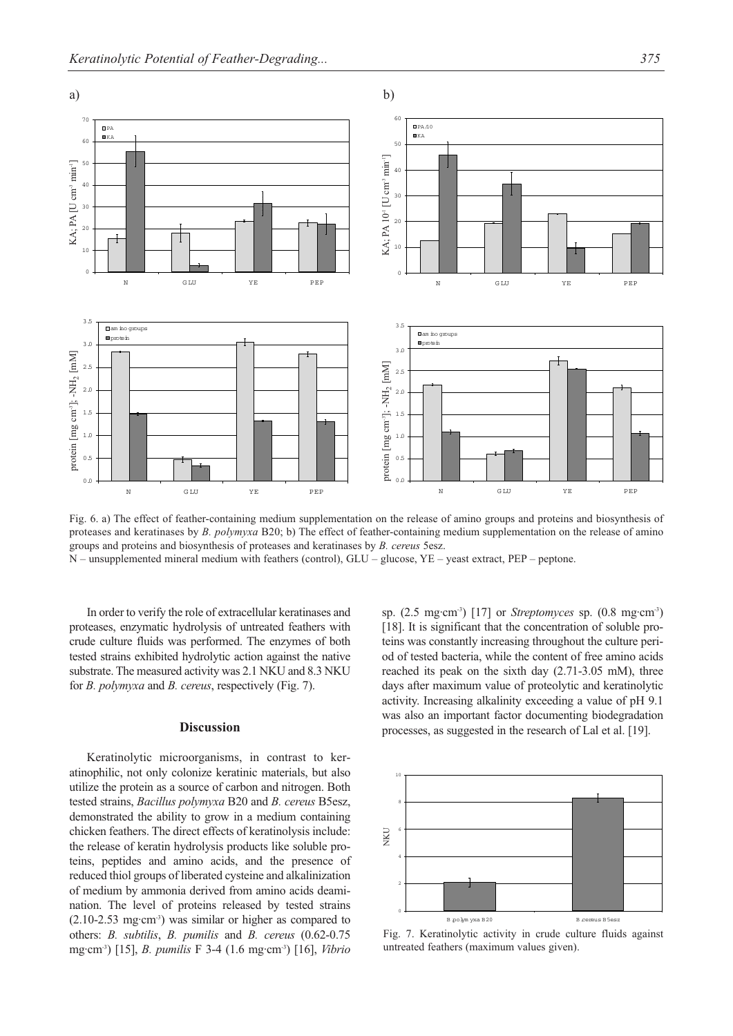

Fig. 6. a) The effect of feather-containing medium supplementation on the release of amino groups and proteins and biosynthesis of proteases and keratinases by *B. polymyxa* B20; b) The effect of feather-containing medium supplementation on the release of amino groups and proteins and biosynthesis of proteases and keratinases by *B. cereus* 5esz.

N – unsupplemented mineral medium with feathers (control), GLU – glucose, YE – yeast extract, PEP – peptone.

In order to verify the role of extracellular keratinases and proteases, enzymatic hydrolysis of untreated feathers with crude culture fluids was performed. The enzymes of both tested strains exhibited hydrolytic action against the native substrate. The measured activity was 2.1 NKU and 8.3 NKU for *B. polymyxa* and *B. cereus*, respectively (Fig. 7).

#### **Discussion**

Keratinolytic microorganisms, in contrast to keratinophilic, not only colonize keratinic materials, but also utilize the protein as a source of carbon and nitrogen. Both tested strains, *Bacillus polymyxa* B20 and *B. cereus* B5esz, demonstrated the ability to grow in a medium containing chicken feathers. The direct effects of keratinolysis include: the release of keratin hydrolysis products like soluble proteins, peptides and amino acids, and the presence of reduced thiol groups of liberated cysteine and alkalinization of medium by ammonia derived from amino acids deamination. The level of proteins released by tested strains  $(2.10-2.53 \text{ mg}\cdot\text{cm}^3)$  was similar or higher as compared to others: *B. subtilis*, *B. pumilis* and *B. cereus* (0.62-0.75 mg·cm-3) [15], *B. pumilis* F 3-4 (1.6 mg·cm-3) [16], *Vibrio* sp. (2.5 mg·cm-3) [17] or *Streptomyces* sp. (0.8 mg·cm-3) [18]. It is significant that the concentration of soluble proteins was constantly increasing throughout the culture period of tested bacteria, while the content of free amino acids reached its peak on the sixth day (2.71-3.05 mM), three days after maximum value of proteolytic and keratinolytic activity. Increasing alkalinity exceeding a value of pH 9.1 was also an important factor documenting biodegradation processes, as suggested in the research of Lal et al. [19].



Fig. 7. Keratinolytic activity in crude culture fluids against untreated feathers (maximum values given).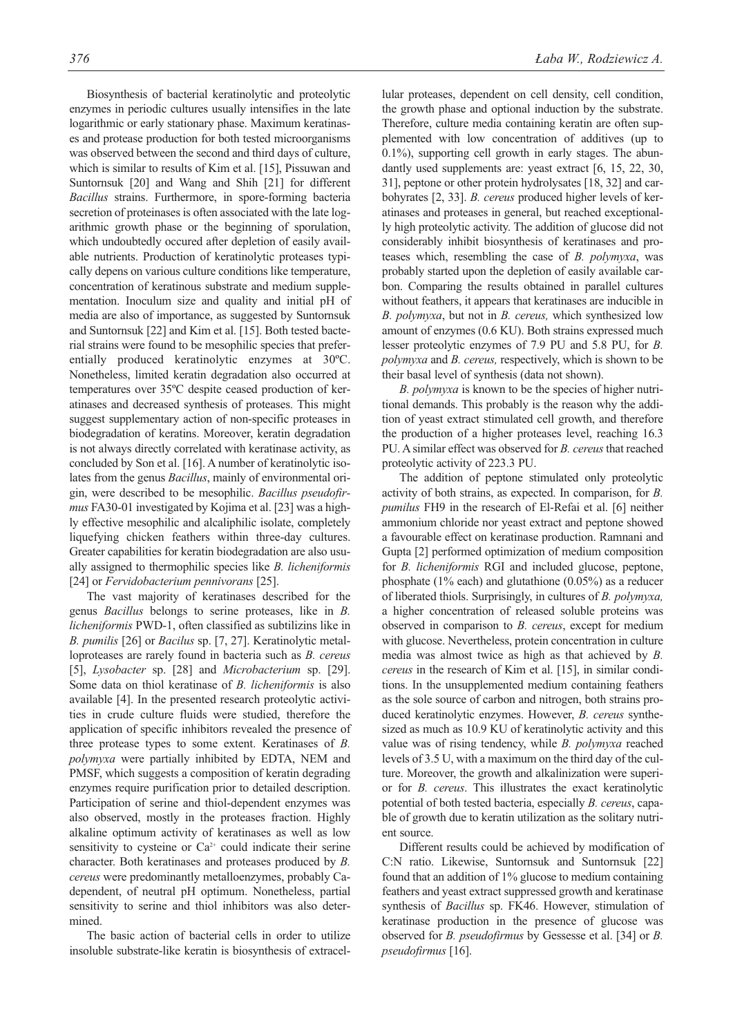Biosynthesis of bacterial keratinolytic and proteolytic enzymes in periodic cultures usually intensifies in the late logarithmic or early stationary phase. Maximum keratinases and protease production for both tested microorganisms was observed between the second and third days of culture, which is similar to results of Kim et al. [15], Pissuwan and Suntornsuk [20] and Wang and Shih [21] for different *Bacillus* strains. Furthermore, in spore-forming bacteria secretion of proteinases is often associated with the late logarithmic growth phase or the beginning of sporulation, which undoubtedly occured after depletion of easily available nutrients. Production of keratinolytic proteases typically depens on various culture conditions like temperature, concentration of keratinous substrate and medium supplementation. Inoculum size and quality and initial pH of media are also of importance, as suggested by Suntornsuk and Suntornsuk [22] and Kim et al. [15]. Both tested bacterial strains were found to be mesophilic species that preferentially produced keratinolytic enzymes at 30ºC. Nonetheless, limited keratin degradation also occurred at temperatures over 35ºC despite ceased production of keratinases and decreased synthesis of proteases. This might suggest supplementary action of non-specific proteases in biodegradation of keratins. Moreover, keratin degradation is not always directly correlated with keratinase activity, as concluded by Son et al. [16]. A number of keratinolytic isolates from the genus *Bacillus*, mainly of environmental origin, were described to be mesophilic. *Bacillus pseudofirmus* FA30-01 investigated by Kojima et al. [23] was a highly effective mesophilic and alcaliphilic isolate, completely liquefying chicken feathers within three-day cultures. Greater capabilities for keratin biodegradation are also usually assigned to thermophilic species like *B. licheniformis* [24] or *Fervidobacterium pennivorans* [25].

The vast majority of keratinases described for the genus *Bacillus* belongs to serine proteases, like in *B. licheniformis* PWD-1, often classified as subtilizins like in *B. pumilis* [26] or *Bacilus* sp. [7, 27]. Keratinolytic metalloproteases are rarely found in bacteria such as *B. cereus* [5], *Lysobacter* sp. [28] and *Microbacterium* sp. [29]. Some data on thiol keratinase of *B. licheniformis* is also available [4]. In the presented research proteolytic activities in crude culture fluids were studied, therefore the application of specific inhibitors revealed the presence of three protease types to some extent. Keratinases of *B. polymyxa* were partially inhibited by EDTA, NEM and PMSF, which suggests a composition of keratin degrading enzymes require purification prior to detailed description. Participation of serine and thiol-dependent enzymes was also observed, mostly in the proteases fraction. Highly alkaline optimum activity of keratinases as well as low sensitivity to cysteine or  $Ca^{2+}$  could indicate their serine character. Both keratinases and proteases produced by *B. cereus* were predominantly metalloenzymes, probably Cadependent, of neutral pH optimum. Nonetheless, partial sensitivity to serine and thiol inhibitors was also determined.

The basic action of bacterial cells in order to utilize insoluble substrate-like keratin is biosynthesis of extracellular proteases, dependent on cell density, cell condition, the growth phase and optional induction by the substrate. Therefore, culture media containing keratin are often supplemented with low concentration of additives (up to 0.1%), supporting cell growth in early stages. The abundantly used supplements are: yeast extract [6, 15, 22, 30, 31], peptone or other protein hydrolysates [18, 32] and carbohyrates [2, 33]. *B. cereus* produced higher levels of keratinases and proteases in general, but reached exceptionally high proteolytic activity. The addition of glucose did not considerably inhibit biosynthesis of keratinases and proteases which, resembling the case of *B. polymyxa*, was probably started upon the depletion of easily available carbon. Comparing the results obtained in parallel cultures without feathers, it appears that keratinases are inducible in *B. polymyxa*, but not in *B. cereus,* which synthesized low amount of enzymes (0.6 KU). Both strains expressed much lesser proteolytic enzymes of 7.9 PU and 5.8 PU, for *B. polymyxa* and *B. cereus,* respectively, which is shown to be their basal level of synthesis (data not shown).

*B. polymyxa* is known to be the species of higher nutritional demands. This probably is the reason why the addition of yeast extract stimulated cell growth, and therefore the production of a higher proteases level, reaching 16.3 PU. A similar effect was observed for *B. cereus*that reached proteolytic activity of 223.3 PU.

The addition of peptone stimulated only proteolytic activity of both strains, as expected. In comparison, for *B. pumilus* FH9 in the research of El-Refai et al. [6] neither ammonium chloride nor yeast extract and peptone showed a favourable effect on keratinase production. Ramnani and Gupta [2] performed optimization of medium composition for *B. licheniformis* RGI and included glucose, peptone, phosphate (1% each) and glutathione (0.05%) as a reducer of liberated thiols. Surprisingly, in cultures of *B. polymyxa,* a higher concentration of released soluble proteins was observed in comparison to *B. cereus*, except for medium with glucose. Nevertheless, protein concentration in culture media was almost twice as high as that achieved by *B. cereus* in the research of Kim et al. [15], in similar conditions. In the unsupplemented medium containing feathers as the sole source of carbon and nitrogen, both strains produced keratinolytic enzymes. However, *B. cereus* synthesized as much as 10.9 KU of keratinolytic activity and this value was of rising tendency, while *B. polymyxa* reached levels of 3.5 U, with a maximum on the third day of the culture. Moreover, the growth and alkalinization were superior for *B. cereus*. This illustrates the exact keratinolytic potential of both tested bacteria, especially *B. cereus*, capable of growth due to keratin utilization as the solitary nutrient source.

Different results could be achieved by modification of C:N ratio. Likewise, Suntornsuk and Suntornsuk [22] found that an addition of 1% glucose to medium containing feathers and yeast extract suppressed growth and keratinase synthesis of *Bacillus* sp. FK46. However, stimulation of keratinase production in the presence of glucose was observed for *B. pseudofirmus* by Gessesse et al. [34] or *B. pseudofirmus* [16].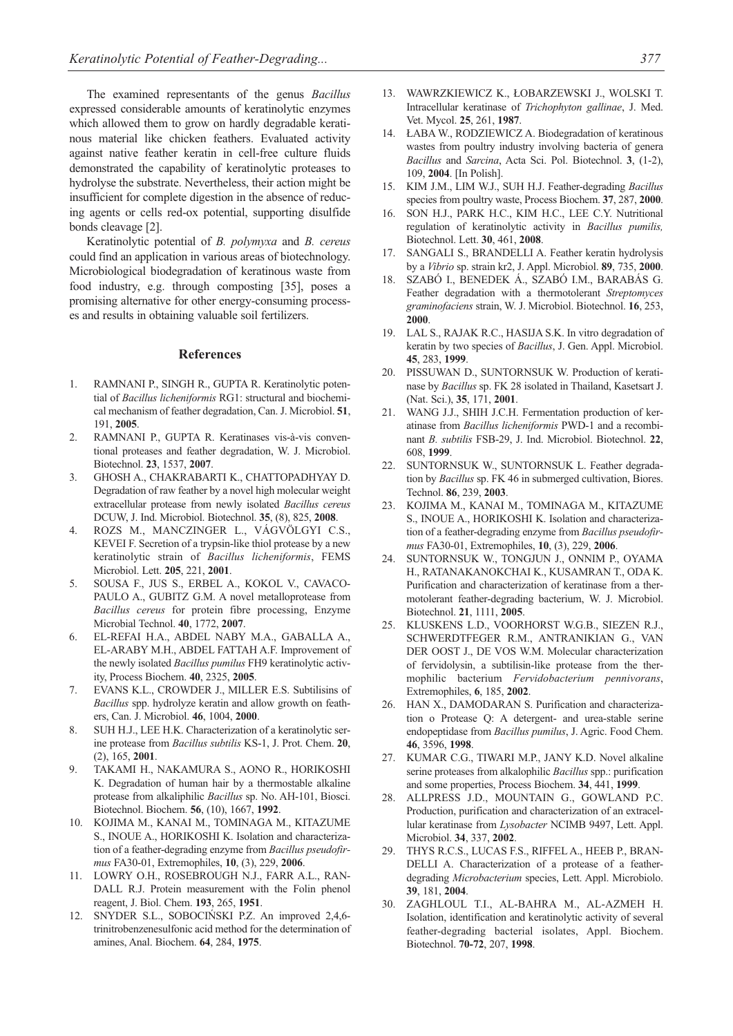The examined representants of the genus *Bacillus* expressed considerable amounts of keratinolytic enzymes which allowed them to grow on hardly degradable keratinous material like chicken feathers. Evaluated activity against native feather keratin in cell-free culture fluids demonstrated the capability of keratinolytic proteases to hydrolyse the substrate. Nevertheless, their action might be insufficient for complete digestion in the absence of reducing agents or cells red-ox potential, supporting disulfide bonds cleavage [2].

Keratinolytic potential of *B. polymyxa* and *B. cereus* could find an application in various areas of biotechnology. Microbiological biodegradation of keratinous waste from food industry, e.g. through composting [35], poses a promising alternative for other energy-consuming processes and results in obtaining valuable soil fertilizers.

#### **References**

- 1. RAMNANI P., SINGH R., GUPTA R. Keratinolytic potential of *Bacillus licheniformis* RG1: structural and biochemical mechanism of feather degradation, Can. J. Microbiol. **51**, 191, **2005**.
- 2. RAMNANI P., GUPTA R. Keratinases vis-à-vis conventional proteases and feather degradation, W. J. Microbiol. Biotechnol. **23**, 1537, **2007**.
- 3. GHOSH A., CHAKRABARTI K., CHATTOPADHYAY D. Degradation of raw feather by a novel high molecular weight extracellular protease from newly isolated *Bacillus cereus* DCUW, J. Ind. Microbiol. Biotechnol. **35**, (8), 825, **2008**.
- 4. ROZS M., MANCZINGER L., VÁGVÖLGYI C.S., KEVEI F. Secretion of a trypsin-like thiol protease by a new keratinolytic strain of *Bacillus licheniformis*, FEMS Microbiol. Lett. **205**, 221, **2001**.
- 5. SOUSA F., JUS S., ERBEL A., KOKOL V., CAVACO-PAULO A., GUBITZ G.M. A novel metalloprotease from *Bacillus cereus* for protein fibre processing, Enzyme Microbial Technol. **40**, 1772, **2007**.
- 6. EL-REFAI H.A., ABDEL NABY M.A., GABALLA A., EL-ARABY M.H., ABDEL FATTAH A.F. Improvement of the newly isolated *Bacillus pumilus* FH9 keratinolytic activity, Process Biochem. **40**, 2325, **2005**.
- 7. EVANS K.L., CROWDER J., MILLER E.S. Subtilisins of *Bacillus* spp. hydrolyze keratin and allow growth on feathers, Can. J. Microbiol. **46**, 1004, **2000**.
- 8. SUH H.J., LEE H.K. Characterization of a keratinolytic serine protease from *Bacillus subtilis* KS-1, J. Prot. Chem. **20**, (2), 165, **2001**.
- 9. TAKAMI H., NAKAMURA S., AONO R., HORIKOSHI K. Degradation of human hair by a thermostable alkaline protease from alkaliphilic *Bacillus* sp. No. AH-101, Biosci. Biotechnol. Biochem. **56**, (10), 1667, **1992**.
- 10. KOJIMA M., KANAI M., TOMINAGA M., KITAZUME S., INOUE A., HORIKOSHI K. Isolation and characterization of a feather-degrading enzyme from *Bacillus pseudofirmus* FA30-01, Extremophiles, **10**, (3), 229, **2006**.
- 11. LOWRY O.H., ROSEBROUGH N.J., FARR A.L., RAN-DALL R.J. Protein measurement with the Folin phenol reagent, J. Biol. Chem. **193**, 265, **1951**.
- 12. SNYDER S.L., SOBOCIŃSKI P.Z. An improved 2,4,6 trinitrobenzenesulfonic acid method for the determination of amines, Anal. Biochem. **64**, 284, **1975**.
- 13. WAWRZKIEWICZ K., ŁOBARZEWSKI J., WOLSKI T. Intracellular keratinase of *Trichophyton gallinae*, J. Med. Vet. Mycol. **25**, 261, **1987**.
- 14. ŁABA W., RODZIEWICZ A. Biodegradation of keratinous wastes from poultry industry involving bacteria of genera *Bacillus* and *Sarcina*, Acta Sci. Pol. Biotechnol. **3**, (1-2), 109, **2004**. [In Polish].
- 15. KIM J.M., LIM W.J., SUH H.J. Feather-degrading *Bacillus* species from poultry waste, Process Biochem. **37**, 287, **2000**.
- 16. SON H.J., PARK H.C., KIM H.C., LEE C.Y. Nutritional regulation of keratinolytic activity in *Bacillus pumilis,* Biotechnol. Lett. **30**, 461, **2008**.
- 17. SANGALI S., BRANDELLI A. Feather keratin hydrolysis by a *Vibrio* sp. strain kr2, J. Appl. Microbiol. **89**, 735, **2000**.
- 18. SZABÓ I., BENEDEK Á., SZABÓ I.M., BARABÁS G. Feather degradation with a thermotolerant *Streptomyces graminofaciens* strain, W. J. Microbiol. Biotechnol. **16**, 253, **2000**.
- 19. LAL S., RAJAK R.C., HASIJA S.K. In vitro degradation of keratin by two species of *Bacillus*, J. Gen. Appl. Microbiol. **45**, 283, **1999**.
- 20. PISSUWAN D., SUNTORNSUK W. Production of keratinase by *Bacillus* sp. FK 28 isolated in Thailand, Kasetsart J. (Nat. Sci.), **35**, 171, **2001**.
- 21. WANG J.J., SHIH J.C.H. Fermentation production of keratinase from *Bacillus licheniformis* PWD-1 and a recombinant *B. subtilis* FSB-29, J. Ind. Microbiol. Biotechnol. **22**, 608, **1999**.
- 22. SUNTORNSUK W., SUNTORNSUK L. Feather degradation by *Bacillus* sp. FK 46 in submerged cultivation, Biores. Technol. **86**, 239, **2003**.
- 23. KOJIMA M., KANAI M., TOMINAGA M., KITAZUME S., INOUE A., HORIKOSHI K. Isolation and characterization of a feather-degrading enzyme from *Bacillus pseudofirmus* FA30-01, Extremophiles, **10**, (3), 229, **2006**.
- 24. SUNTORNSUK W., TONGJUN J., ONNIM P., OYAMA H., RATANAKANOKCHAI K., KUSAMRAN T., ODA K. Purification and characterization of keratinase from a thermotolerant feather-degrading bacterium, W. J. Microbiol. Biotechnol. **21**, 1111, **2005**.
- 25. KLUSKENS L.D., VOORHORST W.G.B., SIEZEN R.J., SCHWERDTFEGER R.M., ANTRANIKIAN G., VAN DER OOST J., DE VOS W.M. Molecular characterization of fervidolysin, a subtilisin-like protease from the thermophilic bacterium *Fervidobacterium pennivorans*, Extremophiles, **6**, 185, **2002**.
- 26. HAN X., DAMODARAN S. Purification and characterization o Protease Q: A detergent- and urea-stable serine endopeptidase from *Bacillus pumilus*, J. Agric. Food Chem. **46**, 3596, **1998**.
- 27. KUMAR C.G., TIWARI M.P., JANY K.D. Novel alkaline serine proteases from alkalophilic *Bacillus* spp.: purification and some properties, Process Biochem. **34**, 441, **1999**.
- 28. ALLPRESS J.D., MOUNTAIN G., GOWLAND P.C. Production, purification and characterization of an extracellular keratinase from *Lysobacter* NCIMB 9497, Lett. Appl. Microbiol. **34**, 337, **2002**.
- 29. THYS R.C.S., LUCAS F.S., RIFFEL A., HEEB P., BRAN-DELLI A. Characterization of a protease of a featherdegrading *Microbacterium* species, Lett. Appl. Microbiolo. **39**, 181, **2004**.
- ZAGHLOUL T.I., AL-BAHRA M., AL-AZMEH H. Isolation, identification and keratinolytic activity of several feather-degrading bacterial isolates, Appl. Biochem. Biotechnol. **70-72**, 207, **1998**.